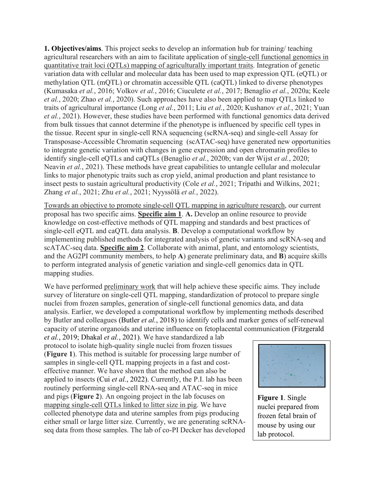**1. Objectives/aims**. This project seeks to develop an information hub for training/ teaching agricultural researchers with an aim to facilitate application of single-cell functional genomics in quantitative trait loci (QTLs) mapping of agriculturally important traits. Integration of genetic variation data with cellular and molecular data has been used to map expression QTL (eQTL) or methylation QTL (mQTL) or chromatin accessible QTL (caQTL) linked to diverse phenotypes (Kumasaka *et al.*, 2016; Volkov *et al.*, 2016; Ciuculete *et al.*, 2017; Benaglio *et al.*, 2020a; Keele *et al.*, 2020; Zhao *et al.*, 2020). Such approaches have also been applied to map QTLs linked to traits of agricultural importance (Long *et al.*, 2011; Liu *et al.*, 2020; Kushanov *et al.*, 2021; Yuan *et al.*, 2021). However, these studies have been performed with functional genomics data derived from bulk tissues that cannot determine if the phenotype is influenced by specific cell types in the tissue. Recent spur in single-cell RNA sequencing (scRNA-seq) and single-cell Assay for Transposase-Accessible Chromatin sequencing (scATAC-seq) have generated new opportunities to integrate genetic variation with changes in gene expression and open chromatin profiles to identify single-cell eQTLs and caQTLs (Benaglio *et al.*, 2020b; van der Wijst *et al.*, 2020; Neavin *et al.*, 2021). These methods have great capabilities to untangle cellular and molecular links to major phenotypic traits such as crop yield, animal production and plant resistance to insect pests to sustain agricultural productivity (Cole *et al.*, 2021; Tripathi and Wilkins, 2021; Zhang *et al.*, 2021; Zhu *et al.*, 2021; Nyyssölä *et al.*, 2022).

Towards an objective to promote single-cell QTL mapping in agriculture research, our current proposal has two specific aims. **Specific aim 1**. **A.** Develop an online resource to provide knowledge on cost-effective methods of QTL mapping and standards and best practices of single-cell eQTL and caQTL data analysis. **B**. Develop a computational workflow by implementing published methods for integrated analysis of genetic variants and scRNA-seq and scATAC-seq data. **Specific aim 2**. Collaborate with animal, plant, and entomology scientists, and the AG2PI community members, to help **A**) generate preliminary data, and **B**) acquire skills to perform integrated analysis of genetic variation and single-cell genomics data in QTL mapping studies.

We have performed preliminary work that will help achieve these specific aims. They include survey of literature on single-cell QTL mapping, standardization of protocol to prepare single nuclei from frozen samples, generation of single-cell functional genomics data, and data analysis. Earlier, we developed a computational workflow by implementing methods described by Butler and colleagues (Butler *et al.*, 2018) to identify cells and marker genes of self-renewal capacity of uterine organoids and uterine influence on fetoplacental communication (Fitzgerald

*et al.*, 2019; Dhakal *et al.*, 2021). We have standardized a lab protocol to isolate high-quality single nuclei from frozen tissues (**Figure 1**). This method is suitable for processing large number of samples in single-cell QTL mapping projects in a fast and costeffective manner. We have shown that the method can also be applied to insects (Cui *et al.*, 2022). Currently, the P.I. lab has been routinely performing single-cell RNA-seq and ATAC-seq in mice and pigs (**Figure 2**). An ongoing project in the lab focuses on mapping single-cell QTLs linked to litter size in pig. We have collected phenotype data and uterine samples from pigs producing either small or large litter size. Currently, we are generating scRNAseq data from those samples. The lab of co-PI Decker has developed



**Figure 1**. Single nuclei prepared from frozen fetal brain of mouse by using our lab protocol.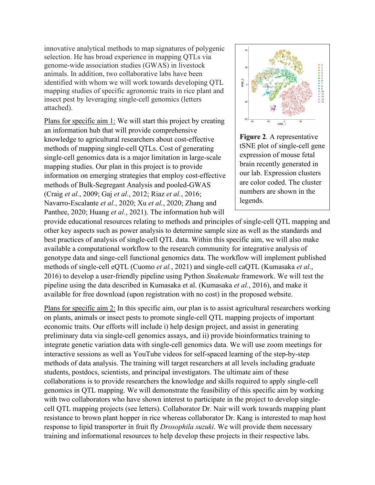innovative analytical methods to map signatures of polygenic selection. He has broad experience in mapping QTLs via genome-wide association studies (GWAS) in livestock animals. In addition, two collaborative labs have been identified with whom we will work towards developing QTL mapping studies of specific agronomic traits in rice plant and insect pest by leveraging single-cell genomics (letters attached).

Plans for specific aim 1: We will start this project by creating an information hub that will provide comprehensive knowledge to agricultural researchers about cost-effective methods of mapping single-cell QTLs. Cost of generating single-cell genomics data is a major limitation in large-scale mapping studies. Our plan in this project is to provide information on emerging strategies that employ cost-effective methods of Bulk-Segregant Analysis and pooled-GWAS (Craig *et al.*, 2009; Gaj *et al.*, 2012; Riaz *et al.*, 2016; Navarro-Escalante *et al.*, 2020; Xu *et al.*, 2020; Zhang and Panthee, 2020; Huang *et al.*, 2021). The information hub will



**Figure 2**. A representative tSNE plot of single-cell gene expression of mouse fetal brain recently generated in our lab. Expression clusters are color coded. The cluster numbers are shown in the legends.

provide educational resources relating to methods and principles of single-cell QTL mapping and other key aspects such as power analysis to determine sample size as well as the standards and best practices of analysis of single-cell QTL data. Within this specific aim, we will also make available a computational workflow to the research community for integrative analysis of genotype data and singe-cell functional genomics data. The workflow will implement published methods of single-cell eQTL (Cuomo *et al.*, 2021) and single-cell caQTL (Kumasaka *et al.*, 2016) to develop a user-friendly pipeline using Python *Snakemake* framework. We will test the pipeline using the data described in Kumasaka et al. (Kumasaka *et al.*, 2016), and make it available for free download (upon registration with no cost) in the proposed website.

Plans for specific aim 2: In this specific aim, our plan is to assist agricultural researchers working on plants, animals or insect pests to promote single-cell QTL mapping projects of important economic traits. Our efforts will include i) help design project, and assist in generating preliminary data via single-cell genomics assays, and ii) provide bioinformatics training to integrate genetic variation data with single-cell genomics data. We will use zoom meetings for interactive sessions as well as YouTube videos for self-spaced learning of the step-by-step methods of data analysis. The training will target researchers at all levels including graduate students, postdocs, scientists, and principal investigators. The ultimate aim of these collaborations is to provide researchers the knowledge and skills required to apply single-cell genomics in QTL mapping. We will demonstrate the feasibility of this specific aim by working with two collaborators who have shown interest to participate in the project to develop singlecell QTL mapping projects (see letters). Collaborator Dr. Nair will work towards mapping plant resistance to brown plant hopper in rice whereas collaborator Dr. Kang is interested to map host response to lipid transporter in fruit fly *Drosophila suzuki*. We will provide them necessary training and informational resources to help develop these projects in their respective labs.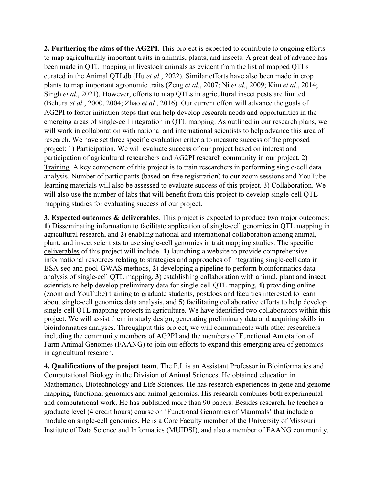**2. Furthering the aims of the AG2PI**. This project is expected to contribute to ongoing efforts to map agriculturally important traits in animals, plants, and insects. A great deal of advance has been made in QTL mapping in livestock animals as evident from the list of mapped QTLs curated in the Animal QTLdb (Hu *et al.*, 2022). Similar efforts have also been made in crop plants to map important agronomic traits (Zeng *et al.*, 2007; Ni *et al.*, 2009; Kim *et al.*, 2014; Singh *et al.*, 2021). However, efforts to map QTLs in agricultural insect pests are limited (Behura *et al.*, 2000, 2004; Zhao *et al.*, 2016). Our current effort will advance the goals of AG2PI to foster initiation steps that can help develop research needs and opportunities in the emerging areas of single-cell integration in QTL mapping. As outlined in our research plans, we will work in collaboration with national and international scientists to help advance this area of research. We have set three specific evaluation criteria to measure success of the proposed project: 1) Participation. We will evaluate success of our project based on interest and participation of agricultural researchers and AG2PI research community in our project, 2) Training. A key component of this project is to train researchers in performing single-cell data analysis. Number of participants (based on free registration) to our zoom sessions and YouTube learning materials will also be assessed to evaluate success of this project. 3) Collaboration. We will also use the number of labs that will benefit from this project to develop single-cell QTL mapping studies for evaluating success of our project.

**3. Expected outcomes & deliverables**. This project is expected to produce two major outcomes: **1**) Disseminating information to facilitate application of single-cell genomics in QTL mapping in agricultural research, and **2**) enabling national and international collaboration among animal, plant, and insect scientists to use single-cell genomics in trait mapping studies. The specific deliverables of this project will include- **1**) launching a website to provide comprehensive informational resources relating to strategies and approaches of integrating single-cell data in BSA-seq and pool-GWAS methods, **2**) developing a pipeline to perform bioinformatics data analysis of single-cell QTL mapping, **3**) establishing collaboration with animal, plant and insect scientists to help develop preliminary data for single-cell QTL mapping, **4**) providing online (zoom and YouTube) training to graduate students, postdocs and faculties interested to learn about single-cell genomics data analysis, and **5**) facilitating collaborative efforts to help develop single-cell QTL mapping projects in agriculture. We have identified two collaborators within this project. We will assist them in study design, generating preliminary data and acquiring skills in bioinformatics analyses. Throughput this project, we will communicate with other researchers including the community members of AG2PI and the members of Functional Annotation of Farm Animal Genomes (FAANG) to join our efforts to expand this emerging area of genomics in agricultural research.

**4. Qualifications of the project team**. The P.I. is an Assistant Professor in Bioinformatics and Computational Biology in the Division of Animal Sciences. He obtained education in Mathematics, Biotechnology and Life Sciences. He has research experiences in gene and genome mapping, functional genomics and animal genomics. His research combines both experimental and computational work. He has published more than 90 papers. Besides research, he teaches a graduate level (4 credit hours) course on 'Functional Genomics of Mammals' that include a module on single-cell genomics. He is a Core Faculty member of the University of Missouri Institute of Data Science and Informatics (MUIDSI), and also a member of FAANG community.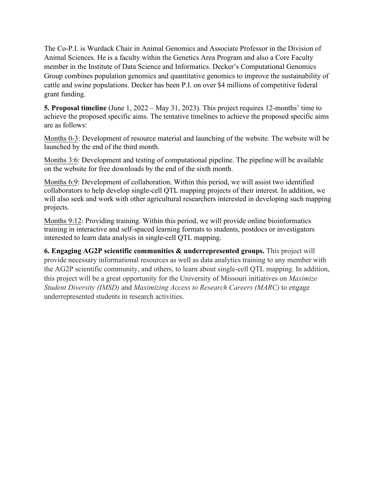The Co-P.I. is Wurdack Chair in Animal Genomics and Associate Professor in the Division of Animal Sciences. He is a faculty within the Genetics Area Program and also a Core Faculty member in the Institute of Data Science and Informatics. Decker's Computational Genomics Group combines population genomics and quantitative genomics to improve the sustainability of cattle and swine populations. Decker has been P.I. on over \$4 millions of competitive federal grant funding.

**5. Proposal timeline** (June 1, 2022 – May 31, 2023). This project requires 12-months' time to achieve the proposed specific aims. The tentative timelines to achieve the proposed specific aims are as follows:

Months 0-3: Development of resource material and launching of the website. The website will be launched by the end of the third month.

Months 3:6: Development and testing of computational pipeline. The pipeline will be available on the website for free downloads by the end of the sixth month.

Months 6:9: Development of collaboration. Within this period, we will assist two identified collaborators to help develop single-cell QTL mapping projects of their interest. In addition, we will also seek and work with other agricultural researchers interested in developing such mapping projects.

Months 9:12: Providing training. Within this period, we will provide online bioinformatics training in interactive and self-spaced learning formats to students, postdocs or investigators interested to learn data analysis in single-cell QTL mapping.

**6. Engaging AG2P scientific communities & underrepresented groups.** This project will provide necessary informational resources as well as data analytics training to any member with the AG2P scientific community, and others, to learn about single-cell QTL mapping. In addition, this project will be a great opportunity for the University of Missouri initiatives on *Maximize Student Diversity (IMSD)* and *Maximizing Access to Research Careers (MARC)* to engage underrepresented students in research activities.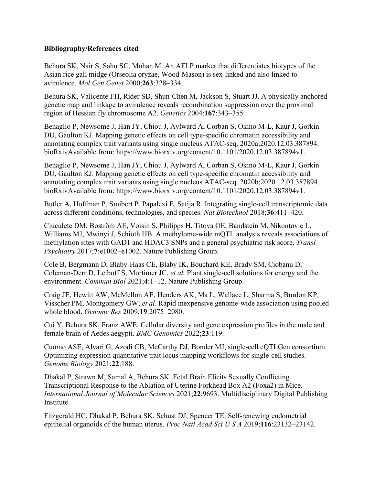## **Bibliography/References cited**

Behura SK, Nair S, Sahu SC, Mohan M. An AFLP marker that differentiates biotypes of the Asian rice gall midge (Orseolia oryzae, Wood-Mason) is sex-linked and also linked to avirulence. *Mol Gen Genet* 2000;**263**:328–334.

Behura SK, Valicente FH, Rider SD, Shun-Chen M, Jackson S, Stuart JJ. A physically anchored genetic map and linkage to avirulence reveals recombination suppression over the proximal region of Hessian fly chromosome A2. *Genetics* 2004;**167**:343–355.

Benaglio P, Newsome J, Han JY, Chiou J, Aylward A, Corban S, Okino M-L, Kaur J, Gorkin DU, Gaulton KJ. Mapping genetic effects on cell type-specific chromatin accessibility and annotating complex trait variants using single nucleus ATAC-seq. 2020a;2020.12.03.387894. bioRxivAvailable from: https://www.biorxiv.org/content/10.1101/2020.12.03.387894v1.

Benaglio P, Newsome J, Han JY, Chiou J, Aylward A, Corban S, Okino M-L, Kaur J, Gorkin DU, Gaulton KJ. Mapping genetic effects on cell type-specific chromatin accessibility and annotating complex trait variants using single nucleus ATAC-seq. 2020b;2020.12.03.387894. bioRxivAvailable from: https://www.biorxiv.org/content/10.1101/2020.12.03.387894v1.

Butler A, Hoffman P, Smibert P, Papalexi E, Satija R. Integrating single-cell transcriptomic data across different conditions, technologies, and species. *Nat Biotechnol* 2018;**36**:411–420.

Ciuculete DM, Boström AE, Voisin S, Philipps H, Titova OE, Bandstein M, Nikontovic L, Williams MJ, Mwinyi J, Schiöth HB. A methylome-wide mQTL analysis reveals associations of methylation sites with GAD1 and HDAC3 SNPs and a general psychiatric risk score. *Transl Psychiatry* 2017;**7**:e1002–e1002. Nature Publishing Group.

Cole B, Bergmann D, Blaby-Haas CE, Blaby IK, Bouchard KE, Brady SM, Ciobanu D, Coleman-Derr D, Leiboff S, Mortimer JC, *et al.* Plant single-cell solutions for energy and the environment. *Commun Biol* 2021;**4**:1–12. Nature Publishing Group.

Craig JE, Hewitt AW, McMellon AE, Henders AK, Ma L, Wallace L, Sharma S, Burdon KP, Visscher PM, Montgomery GW, *et al.* Rapid inexpensive genome-wide association using pooled whole blood. *Genome Res* 2009;**19**:2075–2080.

Cui Y, Behura SK, Franz AWE. Cellular diversity and gene expression profiles in the male and female brain of Aedes aegypti. *BMC Genomics* 2022;**23**:119.

Cuomo ASE, Alvari G, Azodi CB, McCarthy DJ, Bonder MJ, single-cell eQTLGen consortium. Optimizing expression quantitative trait locus mapping workflows for single-cell studies. *Genome Biology* 2021;**22**:188.

Dhakal P, Strawn M, Samal A, Behura SK. Fetal Brain Elicits Sexually Conflicting Transcriptional Response to the Ablation of Uterine Forkhead Box A2 (Foxa2) in Mice. *International Journal of Molecular Sciences* 2021;**22**:9693. Multidisciplinary Digital Publishing Institute.

Fitzgerald HC, Dhakal P, Behura SK, Schust DJ, Spencer TE. Self-renewing endometrial epithelial organoids of the human uterus. *Proc Natl Acad Sci U S A* 2019;**116**:23132–23142.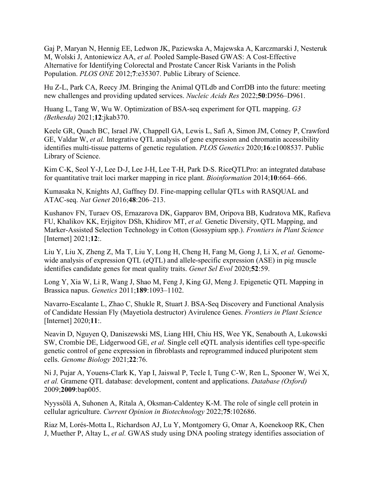Gaj P, Maryan N, Hennig EE, Ledwon JK, Paziewska A, Majewska A, Karczmarski J, Nesteruk M, Wolski J, Antoniewicz AA, *et al.* Pooled Sample-Based GWAS: A Cost-Effective Alternative for Identifying Colorectal and Prostate Cancer Risk Variants in the Polish Population. *PLOS ONE* 2012;**7**:e35307. Public Library of Science.

Hu Z-L, Park CA, Reecy JM. Bringing the Animal QTLdb and CorrDB into the future: meeting new challenges and providing updated services. *Nucleic Acids Res* 2022;**50**:D956–D961.

Huang L, Tang W, Wu W. Optimization of BSA-seq experiment for QTL mapping. *G3 (Bethesda)* 2021;**12**:jkab370.

Keele GR, Quach BC, Israel JW, Chappell GA, Lewis L, Safi A, Simon JM, Cotney P, Crawford GE, Valdar W, *et al.* Integrative QTL analysis of gene expression and chromatin accessibility identifies multi-tissue patterns of genetic regulation. *PLOS Genetics* 2020;**16**:e1008537. Public Library of Science.

Kim C-K, Seol Y-J, Lee D-J, Lee J-H, Lee T-H, Park D-S. RiceQTLPro: an integrated database for quantitative trait loci marker mapping in rice plant. *Bioinformation* 2014;**10**:664–666.

Kumasaka N, Knights AJ, Gaffney DJ. Fine-mapping cellular QTLs with RASQUAL and ATAC-seq. *Nat Genet* 2016;**48**:206–213.

Kushanov FN, Turaev OS, Ernazarova DK, Gapparov BM, Oripova BB, Kudratova MK, Rafieva FU, Khalikov KK, Erjigitov DSh, Khidirov MT, *et al.* Genetic Diversity, QTL Mapping, and Marker-Assisted Selection Technology in Cotton (Gossypium spp.). *Frontiers in Plant Science* [Internet] 2021;**12**:.

Liu Y, Liu X, Zheng Z, Ma T, Liu Y, Long H, Cheng H, Fang M, Gong J, Li X, *et al.* Genomewide analysis of expression OTL (eQTL) and allele-specific expression (ASE) in pig muscle identifies candidate genes for meat quality traits. *Genet Sel Evol* 2020;**52**:59.

Long Y, Xia W, Li R, Wang J, Shao M, Feng J, King GJ, Meng J. Epigenetic QTL Mapping in Brassica napus. *Genetics* 2011;**189**:1093–1102.

Navarro-Escalante L, Zhao C, Shukle R, Stuart J. BSA-Seq Discovery and Functional Analysis of Candidate Hessian Fly (Mayetiola destructor) Avirulence Genes. *Frontiers in Plant Science* [Internet] 2020;**11**:.

Neavin D, Nguyen Q, Daniszewski MS, Liang HH, Chiu HS, Wee YK, Senabouth A, Lukowski SW, Crombie DE, Lidgerwood GE, *et al.* Single cell eQTL analysis identifies cell type-specific genetic control of gene expression in fibroblasts and reprogrammed induced pluripotent stem cells. *Genome Biology* 2021;**22**:76.

Ni J, Pujar A, Youens-Clark K, Yap I, Jaiswal P, Tecle I, Tung C-W, Ren L, Spooner W, Wei X, *et al.* Gramene QTL database: development, content and applications. *Database (Oxford)* 2009;**2009**:bap005.

Nyyssölä A, Suhonen A, Ritala A, Oksman-Caldentey K-M. The role of single cell protein in cellular agriculture. *Current Opinion in Biotechnology* 2022;**75**:102686.

Riaz M, Lorés-Motta L, Richardson AJ, Lu Y, Montgomery G, Omar A, Koenekoop RK, Chen J, Muether P, Altay L, *et al.* GWAS study using DNA pooling strategy identifies association of